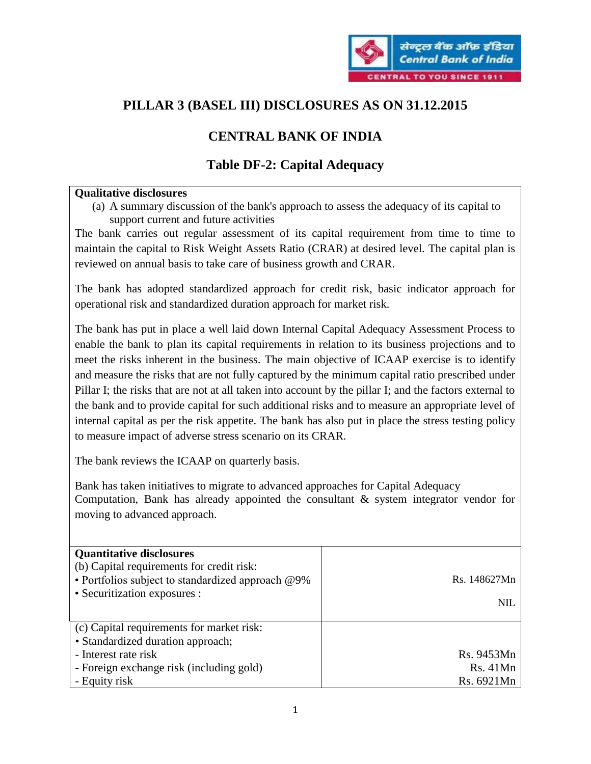

# **PILLAR 3 (BASEL III) DISCLOSURES AS ON 31.12.2015**

# **CENTRAL BANK OF INDIA**

### **Table DF-2: Capital Adequacy**

#### **Qualitative disclosures**

(a) A summary discussion of the bank's approach to assess the adequacy of its capital to support current and future activities

The bank carries out regular assessment of its capital requirement from time to time to maintain the capital to Risk Weight Assets Ratio (CRAR) at desired level. The capital plan is reviewed on annual basis to take care of business growth and CRAR.

The bank has adopted standardized approach for credit risk, basic indicator approach for operational risk and standardized duration approach for market risk.

The bank has put in place a well laid down Internal Capital Adequacy Assessment Process to enable the bank to plan its capital requirements in relation to its business projections and to meet the risks inherent in the business. The main objective of ICAAP exercise is to identify and measure the risks that are not fully captured by the minimum capital ratio prescribed under Pillar I; the risks that are not at all taken into account by the pillar I; and the factors external to the bank and to provide capital for such additional risks and to measure an appropriate level of internal capital as per the risk appetite. The bank has also put in place the stress testing policy to measure impact of adverse stress scenario on its CRAR.

The bank reviews the ICAAP on quarterly basis.

Bank has taken initiatives to migrate to advanced approaches for Capital Adequacy Computation, Bank has already appointed the consultant & system integrator vendor for moving to advanced approach.

| <b>Quantitative disclosures</b><br>(b) Capital requirements for credit risk:<br>• Portfolios subject to standardized approach @9%<br>• Securitization exposures : | Rs. 148627Mn<br><b>NIL</b> |
|-------------------------------------------------------------------------------------------------------------------------------------------------------------------|----------------------------|
| (c) Capital requirements for market risk:                                                                                                                         |                            |
| • Standardized duration approach;                                                                                                                                 |                            |
| - Interest rate risk                                                                                                                                              | Rs. 9453Mn                 |
| - Foreign exchange risk (including gold)                                                                                                                          | Rs.41Mn                    |
| - Equity risk                                                                                                                                                     | Rs. 6921Mn                 |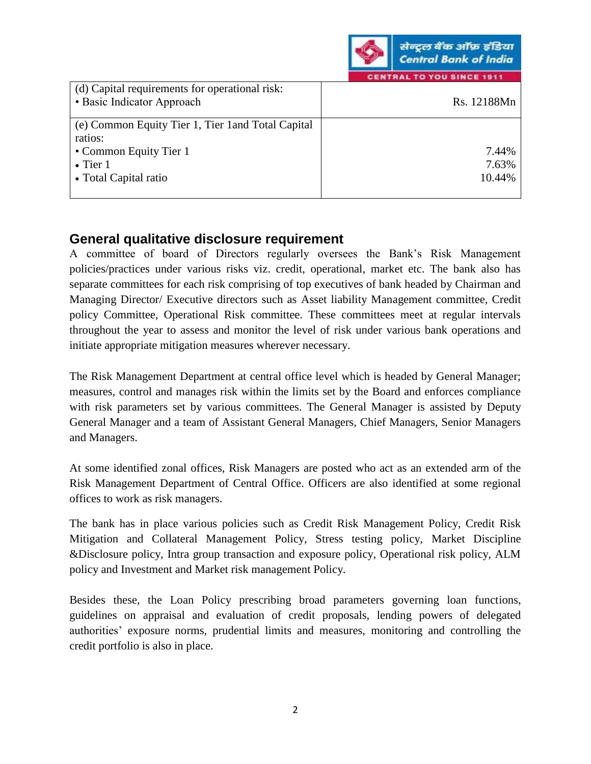

TRAL TO YOU SINCE 191

| (d) Capital requirements for operational risk:<br>• Basic Indicator Approach | Rs. 12188Mn |
|------------------------------------------------------------------------------|-------------|
| (e) Common Equity Tier 1, Tier 1 and Total Capital                           |             |
| ratios:                                                                      |             |
| • Common Equity Tier 1                                                       | 7.44%       |
| $\bullet$ Tier 1                                                             | 7.63%       |
| • Total Capital ratio                                                        | 10.44%      |
|                                                                              |             |

### **General qualitative disclosure requirement**

A committee of board of Directors regularly oversees the Bank's Risk Management policies/practices under various risks viz. credit, operational, market etc. The bank also has separate committees for each risk comprising of top executives of bank headed by Chairman and Managing Director/ Executive directors such as Asset liability Management committee, Credit policy Committee, Operational Risk committee. These committees meet at regular intervals throughout the year to assess and monitor the level of risk under various bank operations and initiate appropriate mitigation measures wherever necessary.

The Risk Management Department at central office level which is headed by General Manager; measures, control and manages risk within the limits set by the Board and enforces compliance with risk parameters set by various committees. The General Manager is assisted by Deputy General Manager and a team of Assistant General Managers, Chief Managers, Senior Managers and Managers.

At some identified zonal offices, Risk Managers are posted who act as an extended arm of the Risk Management Department of Central Office. Officers are also identified at some regional offices to work as risk managers.

The bank has in place various policies such as Credit Risk Management Policy, Credit Risk Mitigation and Collateral Management Policy, Stress testing policy, Market Discipline &Disclosure policy, Intra group transaction and exposure policy, Operational risk policy, ALM policy and Investment and Market risk management Policy.

Besides these, the Loan Policy prescribing broad parameters governing loan functions, guidelines on appraisal and evaluation of credit proposals, lending powers of delegated authorities' exposure norms, prudential limits and measures, monitoring and controlling the credit portfolio is also in place.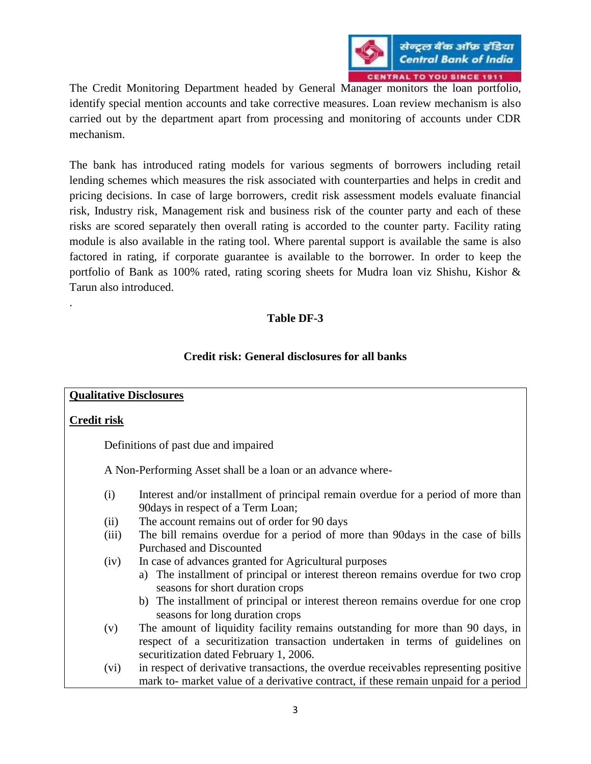

The Credit Monitoring Department headed by General Manager monitors the loan portfolio, identify special mention accounts and take corrective measures. Loan review mechanism is also carried out by the department apart from processing and monitoring of accounts under CDR mechanism.

The bank has introduced rating models for various segments of borrowers including retail lending schemes which measures the risk associated with counterparties and helps in credit and pricing decisions. In case of large borrowers, credit risk assessment models evaluate financial risk, Industry risk, Management risk and business risk of the counter party and each of these risks are scored separately then overall rating is accorded to the counter party. Facility rating module is also available in the rating tool. Where parental support is available the same is also factored in rating, if corporate guarantee is available to the borrower. In order to keep the portfolio of Bank as 100% rated, rating scoring sheets for Mudra loan viz Shishu, Kishor & Tarun also introduced.

#### **Table DF-3**

#### **Credit risk: General disclosures for all banks**

#### **Qualitative Disclosures**

#### **Credit risk**

.

Definitions of past due and impaired

A Non-Performing Asset shall be a loan or an advance where-

- (i) Interest and/or installment of principal remain overdue for a period of more than 90days in respect of a Term Loan;
- (ii) The account remains out of order for 90 days
- (iii) The bill remains overdue for a period of more than 90days in the case of bills Purchased and Discounted
- (iv) In case of advances granted for Agricultural purposes
	- a) The installment of principal or interest thereon remains overdue for two crop seasons for short duration crops
	- b) The installment of principal or interest thereon remains overdue for one crop seasons for long duration crops
- (v) The amount of liquidity facility remains outstanding for more than 90 days, in respect of a securitization transaction undertaken in terms of guidelines on securitization dated February 1, 2006.
- (vi) in respect of derivative transactions, the overdue receivables representing positive mark to- market value of a derivative contract, if these remain unpaid for a period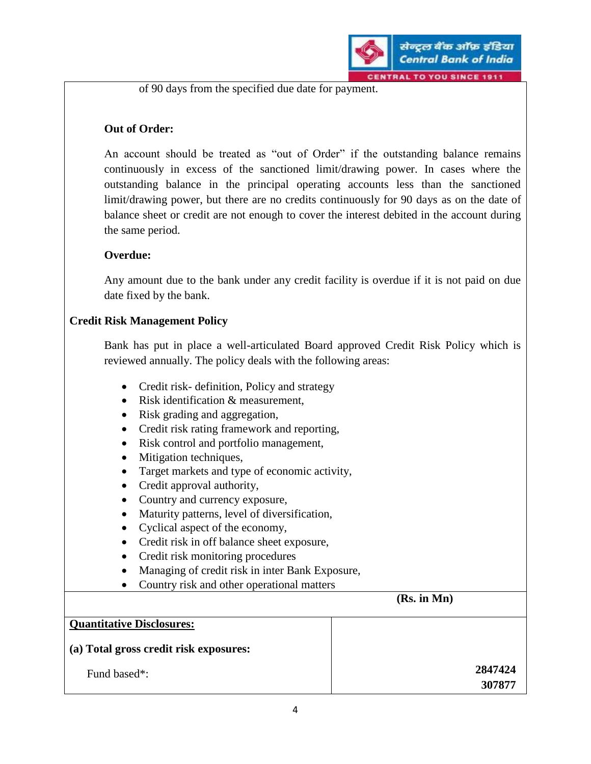

of 90 days from the specified due date for payment.

#### **Out of Order:**

 An account should be treated as "out of Order" if the outstanding balance remains continuously in excess of the sanctioned limit/drawing power. In cases where the outstanding balance in the principal operating accounts less than the sanctioned limit/drawing power, but there are no credits continuously for 90 days as on the date of balance sheet or credit are not enough to cover the interest debited in the account during the same period.

#### **Overdue:**

Any amount due to the bank under any credit facility is overdue if it is not paid on due date fixed by the bank.

#### **Credit Risk Management Policy**

Bank has put in place a well-articulated Board approved Credit Risk Policy which is reviewed annually. The policy deals with the following areas:

- Credit risk- definition, Policy and strategy
- Risk identification & measurement,
- Risk grading and aggregation,
- Credit risk rating framework and reporting,
- Risk control and portfolio management,
- Mitigation techniques,
- Target markets and type of economic activity,
- Credit approval authority,
- Country and currency exposure,
- Maturity patterns, level of diversification,
- Cyclical aspect of the economy,
- Credit risk in off balance sheet exposure,
- Credit risk monitoring procedures
- Managing of credit risk in inter Bank Exposure,
- Country risk and other operational matters

 **(Rs. in Mn)**

| <b>Quantitative Disclosures:</b>       |         |
|----------------------------------------|---------|
| (a) Total gross credit risk exposures: |         |
| Fund based <sup>*</sup> :              | 2847424 |
|                                        | 307877  |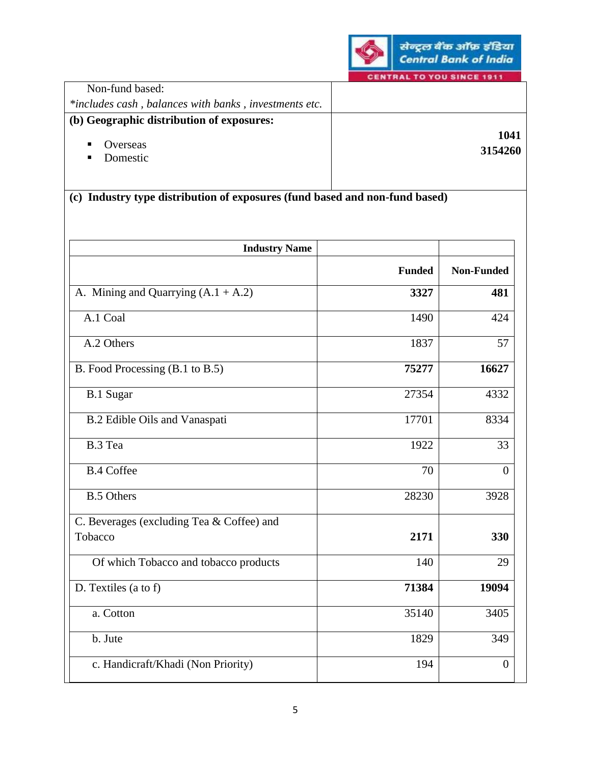**CENTRAL TO YOU SINCE 1911** 

| Non-fund based:                                          |                 |
|----------------------------------------------------------|-----------------|
| *includes cash, balances with banks, investments etc.    |                 |
| (b) Geographic distribution of exposures:                |                 |
| $\blacksquare$<br>Overseas<br>Domestic<br>$\blacksquare$ | 1041<br>3154260 |

# **(c) Industry type distribution of exposures (fund based and non-fund based)**

| <b>Industry Name</b>                      |               |                   |
|-------------------------------------------|---------------|-------------------|
|                                           | <b>Funded</b> | <b>Non-Funded</b> |
| A. Mining and Quarrying $(A.1 + A.2)$     | 3327          | 481               |
| A.1 Coal                                  | 1490          | 424               |
| A.2 Others                                | 1837          | 57                |
| B. Food Processing (B.1 to B.5)           | 75277         | 16627             |
| <b>B.1 Sugar</b>                          | 27354         | 4332              |
| B.2 Edible Oils and Vanaspati             | 17701         | 8334              |
| B.3 Tea                                   | 1922          | 33                |
| <b>B.4 Coffee</b>                         | 70            | $\theta$          |
| <b>B.5 Others</b>                         | 28230         | 3928              |
| C. Beverages (excluding Tea & Coffee) and |               |                   |
| Tobacco                                   | 2171          | 330               |
| Of which Tobacco and tobacco products     | 140           | 29                |
| D. Textiles (a to f)                      | 71384         | 19094             |
| a. Cotton                                 | 35140         | 3405              |
| b. Jute                                   | 1829          | 349               |
| c. Handicraft/Khadi (Non Priority)        | 194           | $\overline{0}$    |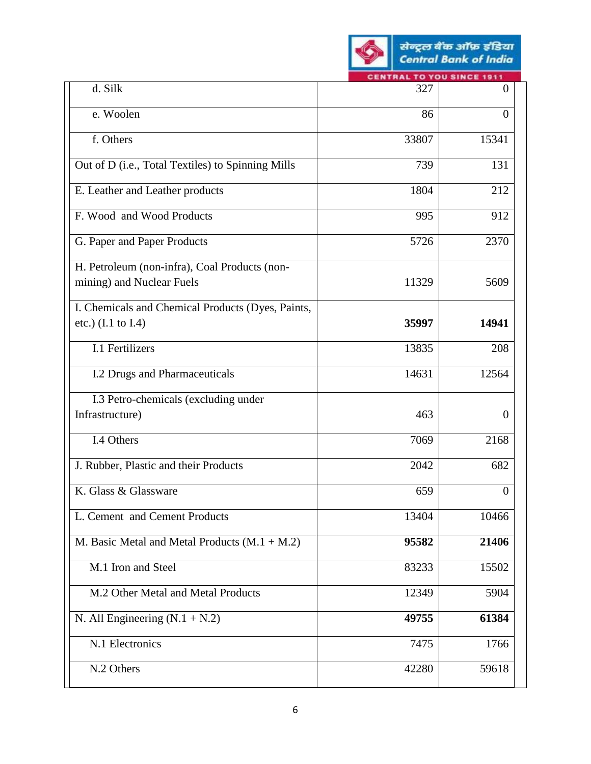

| d. Silk                                           | 327   | $\theta$ |
|---------------------------------------------------|-------|----------|
| e. Woolen                                         | 86    | $\theta$ |
| f. Others                                         | 33807 | 15341    |
| Out of D (i.e., Total Textiles) to Spinning Mills | 739   | 131      |
| E. Leather and Leather products                   | 1804  | 212      |
| F. Wood and Wood Products                         | 995   | 912      |
| G. Paper and Paper Products                       | 5726  | 2370     |
| H. Petroleum (non-infra), Coal Products (non-     |       |          |
| mining) and Nuclear Fuels                         | 11329 | 5609     |
| I. Chemicals and Chemical Products (Dyes, Paints, |       |          |
| etc.) $(I.1 \text{ to } I.4)$                     | 35997 | 14941    |
| I.1 Fertilizers                                   | 13835 | 208      |
| I.2 Drugs and Pharmaceuticals                     | 14631 | 12564    |
| I.3 Petro-chemicals (excluding under              |       |          |
| Infrastructure)                                   | 463   | $\theta$ |
| I.4 Others                                        | 7069  | 2168     |
| J. Rubber, Plastic and their Products             | 2042  | 682      |
| K. Glass & Glassware                              | 659   | $\theta$ |
| L. Cement and Cement Products                     | 13404 | 10466    |
| M. Basic Metal and Metal Products $(M.1 + M.2)$   | 95582 | 21406    |
| M.1 Iron and Steel                                | 83233 | 15502    |
| M.2 Other Metal and Metal Products                | 12349 | 5904     |
| N. All Engineering $(N.1 + N.2)$                  | 49755 | 61384    |
| N.1 Electronics                                   | 7475  | 1766     |
| N.2 Others                                        | 42280 | 59618    |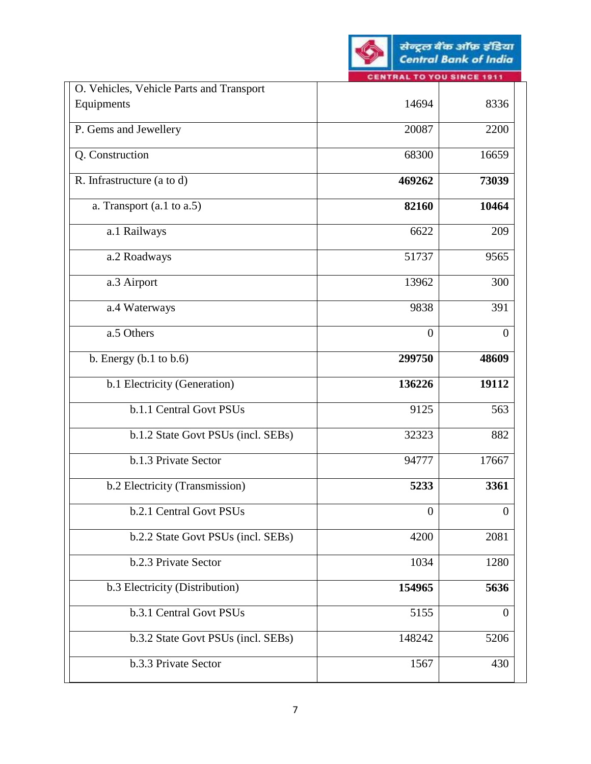| O. Vehicles, Vehicle Parts and Transport |                  |          |
|------------------------------------------|------------------|----------|
| Equipments                               | 14694            | 8336     |
| P. Gems and Jewellery                    | 20087            | 2200     |
| Q. Construction                          | 68300            | 16659    |
| R. Infrastructure (a to d)               | 469262           | 73039    |
| a. Transport $(a.1 \text{ to } a.5)$     | 82160            | 10464    |
| a.1 Railways                             | 6622             | 209      |
| a.2 Roadways                             | 51737            | 9565     |
| a.3 Airport                              | 13962            | 300      |
| a.4 Waterways                            | 9838             | 391      |
| a.5 Others                               | $\theta$         | $\theta$ |
| b. Energy $(b.1 to b.6)$                 | 299750           | 48609    |
| b.1 Electricity (Generation)             | 136226           | 19112    |
| b.1.1 Central Govt PSUs                  | 9125             | 563      |
| b.1.2 State Govt PSUs (incl. SEBs)       | 32323            | 882      |
| b.1.3 Private Sector                     | 94777            | 17667    |
| b.2 Electricity (Transmission)           | 5233             | 3361     |
| b.2.1 Central Govt PSUs                  | $\boldsymbol{0}$ | $\theta$ |
| b.2.2 State Govt PSUs (incl. SEBs)       | 4200             | 2081     |
| b.2.3 Private Sector                     | 1034             | 1280     |
| b.3 Electricity (Distribution)           | 154965           | 5636     |
| b.3.1 Central Govt PSUs                  | 5155             | $\theta$ |
| b.3.2 State Govt PSUs (incl. SEBs)       | 148242           | 5206     |
| b.3.3 Private Sector                     | 1567             | 430      |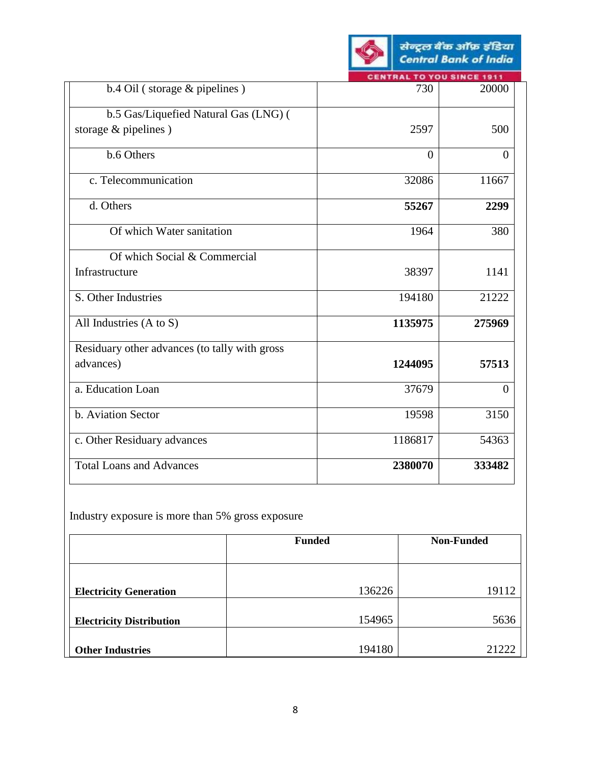

ENTRAL TO YOU SINCE 1911

| $b.4$ Oil (storage $&$ pipelines)             | 730            | 20000          |
|-----------------------------------------------|----------------|----------------|
| b.5 Gas/Liquefied Natural Gas (LNG) (         |                |                |
| storage & pipelines)                          | 2597           | 500            |
| b.6 Others                                    | $\overline{0}$ | $\overline{0}$ |
| c. Telecommunication                          | 32086          | 11667          |
| d. Others                                     | 55267          | 2299           |
| Of which Water sanitation                     | 1964           | 380            |
| Of which Social & Commercial                  |                |                |
| Infrastructure                                | 38397          | 1141           |
| S. Other Industries                           | 194180         | 21222          |
| All Industries (A to S)                       | 1135975        | 275969         |
| Residuary other advances (to tally with gross |                |                |
| advances)                                     | 1244095        | 57513          |
| a. Education Loan                             | 37679          | $\overline{0}$ |
| b. Aviation Sector                            | 19598          | 3150           |
| c. Other Residuary advances                   | 1186817        | 54363          |
| <b>Total Loans and Advances</b>               | 2380070        | 333482         |

Industry exposure is more than 5% gross exposure

|                                 | <b>Funded</b> | <b>Non-Funded</b> |  |
|---------------------------------|---------------|-------------------|--|
|                                 |               |                   |  |
|                                 |               |                   |  |
| <b>Electricity Generation</b>   | 136226        | 19112             |  |
|                                 |               |                   |  |
| <b>Electricity Distribution</b> | 154965        | 5636              |  |
|                                 |               |                   |  |
| <b>Other Industries</b>         | 194180        | 21222             |  |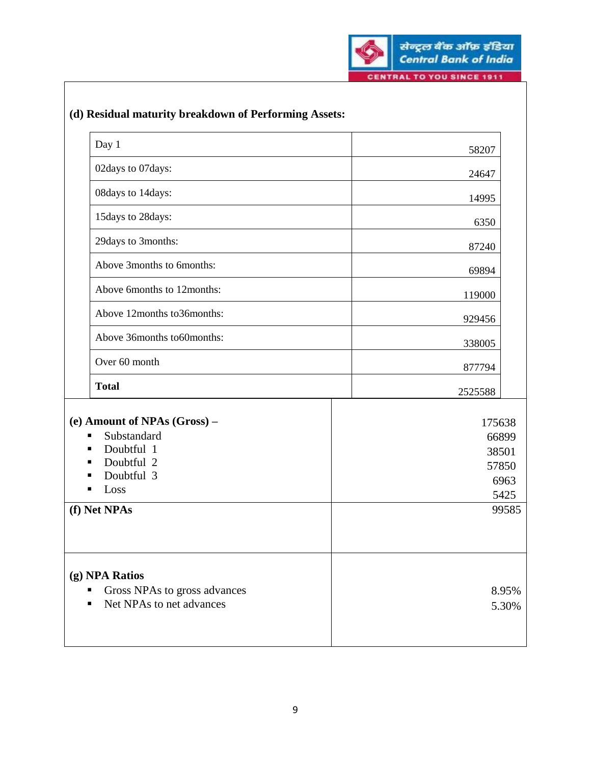

**CENTRAL TO YOU SINCE 1911** 

# **(d) Residual maturity breakdown of Performing Assets:**

| Day 1                                                                                                                             | 58207                                                      |  |
|-----------------------------------------------------------------------------------------------------------------------------------|------------------------------------------------------------|--|
| 02days to 07days:                                                                                                                 | 24647                                                      |  |
| 08days to 14days:                                                                                                                 | 14995                                                      |  |
| 15days to 28days:                                                                                                                 | 6350                                                       |  |
| 29days to 3months:                                                                                                                | 87240                                                      |  |
| Above 3months to 6months:                                                                                                         | 69894                                                      |  |
| Above 6months to 12months:                                                                                                        | 119000                                                     |  |
| Above 12months to36months:                                                                                                        | 929456                                                     |  |
| Above 36months to60months:                                                                                                        | 338005                                                     |  |
| Over 60 month                                                                                                                     | 877794                                                     |  |
| <b>Total</b>                                                                                                                      | 2525588                                                    |  |
| (e) Amount of NPAs (Gross) –<br>Substandard<br>■<br>Doubtful 1<br>Doubtful 2<br>п<br>Doubtful 3<br>п<br>Loss<br>■<br>(f) Net NPAs | 175638<br>66899<br>38501<br>57850<br>6963<br>5425<br>99585 |  |
| (g) NPA Ratios<br>Gross NPAs to gross advances<br>ш<br>Net NPAs to net advances                                                   | 8.95%<br>5.30%                                             |  |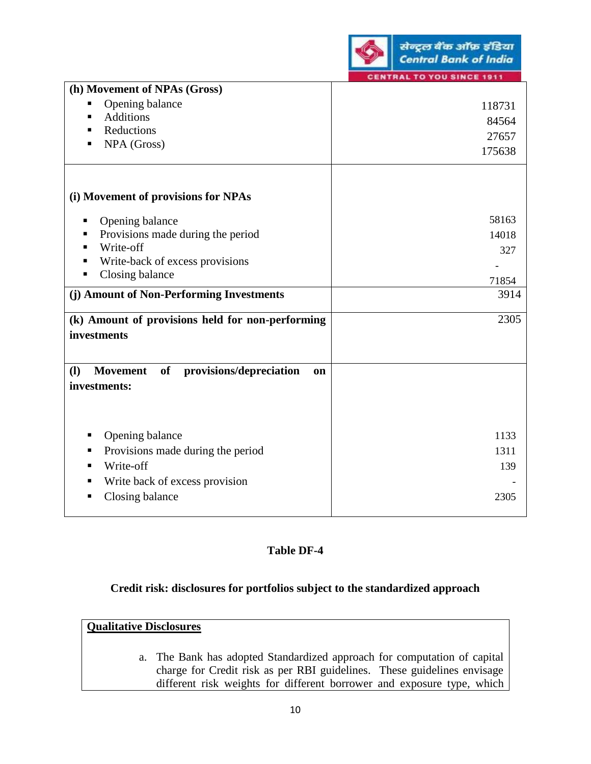

**ENTRAL TO YOU SINCE 1911** 

| (h) Movement of NPAs (Gross)                                                |        |
|-----------------------------------------------------------------------------|--------|
| Opening balance<br>п                                                        | 118731 |
| <b>Additions</b><br>п                                                       | 84564  |
| Reductions<br>п                                                             | 27657  |
| NPA (Gross)<br>п                                                            | 175638 |
|                                                                             |        |
| (i) Movement of provisions for NPAs                                         |        |
| Opening balance<br>п                                                        | 58163  |
| Provisions made during the period<br>п                                      | 14018  |
| Write-off<br>п                                                              | 327    |
| Write-back of excess provisions                                             |        |
| Closing balance                                                             | 71854  |
| (j) Amount of Non-Performing Investments                                    | 3914   |
| (k) Amount of provisions held for non-performing                            | 2305   |
| investments                                                                 |        |
|                                                                             |        |
| provisions/depreciation<br><b>Movement</b><br><b>(I)</b><br>of<br><b>on</b> |        |
| investments:                                                                |        |
|                                                                             |        |
|                                                                             |        |
| Opening balance<br>п                                                        | 1133   |
| Provisions made during the period<br>п                                      | 1311   |
| Write-off<br>п                                                              | 139    |
| Write back of excess provision                                              |        |
| Closing balance                                                             | 2305   |
|                                                                             |        |

#### **Table DF-4**

#### **Credit risk: disclosures for portfolios subject to the standardized approach**

#### **Qualitative Disclosures**

a. The Bank has adopted Standardized approach for computation of capital charge for Credit risk as per RBI guidelines. These guidelines envisage different risk weights for different borrower and exposure type, which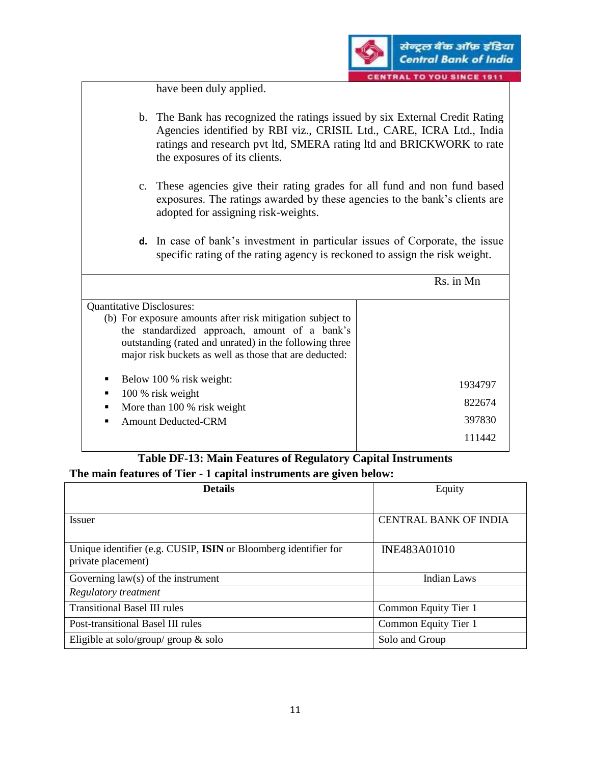

**CENTRAL TO YOU SINCE 1911** 

|  |  |  |  | have been duly applied. |  |
|--|--|--|--|-------------------------|--|
|--|--|--|--|-------------------------|--|

- b. The Bank has recognized the ratings issued by six External Credit Rating Agencies identified by RBI viz., CRISIL Ltd., CARE, ICRA Ltd., India ratings and research pvt ltd, SMERA rating ltd and BRICKWORK to rate the exposures of its clients.
- c. These agencies give their rating grades for all fund and non fund based exposures. The ratings awarded by these agencies to the bank's clients are adopted for assigning risk-weights.
- **d.** In case of bank's investment in particular issues of Corporate, the issue specific rating of the rating agency is reckoned to assign the risk weight.

|                                                                                                                                                                                                                                                                    | Rs. in Mn                             |
|--------------------------------------------------------------------------------------------------------------------------------------------------------------------------------------------------------------------------------------------------------------------|---------------------------------------|
| <b>Quantitative Disclosures:</b><br>(b) For exposure amounts after risk mitigation subject to<br>the standardized approach, amount of a bank's<br>outstanding (rated and unrated) in the following three<br>major risk buckets as well as those that are deducted: |                                       |
| Below 100 % risk weight:<br>$\blacksquare$<br>100 % risk weight<br>$\blacksquare$<br>More than 100 % risk weight<br>$\blacksquare$<br><b>Amount Deducted-CRM</b><br>$\blacksquare$                                                                                 | 1934797<br>822674<br>397830<br>111442 |

#### **Table DF-13: Main Features of Regulatory Capital Instruments The main features of Tier - 1 capital instruments are given below:**

| <b>Details</b>                                                                        | Equity                       |
|---------------------------------------------------------------------------------------|------------------------------|
|                                                                                       |                              |
| <i>Issuer</i>                                                                         | <b>CENTRAL BANK OF INDIA</b> |
| Unique identifier (e.g. CUSIP, ISIN or Bloomberg identifier for<br>private placement) | INE483A01010                 |
| Governing $law(s)$ of the instrument                                                  | Indian Laws                  |
| Regulatory treatment                                                                  |                              |
| <b>Transitional Basel III rules</b>                                                   | Common Equity Tier 1         |
| Post-transitional Basel III rules                                                     | Common Equity Tier 1         |
| Eligible at solo/group/ group $\&$ solo                                               | Solo and Group               |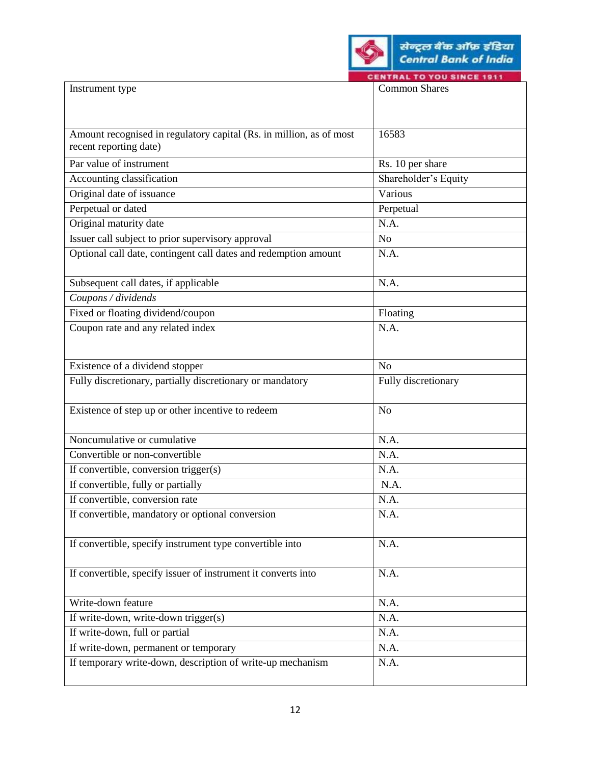

| Instrument type                                                     | <b>BALIV</b><br>1 U U SIN U E 13<br><b>Common Shares</b> |
|---------------------------------------------------------------------|----------------------------------------------------------|
|                                                                     |                                                          |
|                                                                     |                                                          |
| Amount recognised in regulatory capital (Rs. in million, as of most | 16583                                                    |
| recent reporting date)                                              |                                                          |
| Par value of instrument                                             | Rs. 10 per share                                         |
| Accounting classification                                           | Shareholder's Equity                                     |
| Original date of issuance                                           | Various                                                  |
| Perpetual or dated                                                  | Perpetual                                                |
| Original maturity date                                              | N.A.                                                     |
| Issuer call subject to prior supervisory approval                   | N <sub>o</sub>                                           |
| Optional call date, contingent call dates and redemption amount     | N.A.                                                     |
|                                                                     |                                                          |
| Subsequent call dates, if applicable                                | N.A.                                                     |
| Coupons / dividends                                                 |                                                          |
| Fixed or floating dividend/coupon                                   | Floating                                                 |
| Coupon rate and any related index                                   | N.A.                                                     |
|                                                                     |                                                          |
|                                                                     |                                                          |
| Existence of a dividend stopper                                     | N <sub>o</sub>                                           |
| Fully discretionary, partially discretionary or mandatory           | Fully discretionary                                      |
|                                                                     | N <sub>o</sub>                                           |
| Existence of step up or other incentive to redeem                   |                                                          |
| Noncumulative or cumulative                                         | N.A.                                                     |
| Convertible or non-convertible                                      | N.A.                                                     |
| If convertible, conversion trigger(s)                               | N.A.                                                     |
| If convertible, fully or partially                                  | N.A.                                                     |
| If convertible, conversion rate                                     | N.A.                                                     |
|                                                                     |                                                          |
| If convertible, mandatory or optional conversion                    | N.A.                                                     |
| If convertible, specify instrument type convertible into            | N.A.                                                     |
|                                                                     |                                                          |
| If convertible, specify issuer of instrument it converts into       | N.A.                                                     |
|                                                                     |                                                          |
| Write-down feature                                                  | N.A.                                                     |
| If write-down, write-down trigger(s)                                | N.A.                                                     |
| If write-down, full or partial                                      | N.A.                                                     |
| If write-down, permanent or temporary                               | N.A.                                                     |
| If temporary write-down, description of write-up mechanism          | N.A.                                                     |
|                                                                     |                                                          |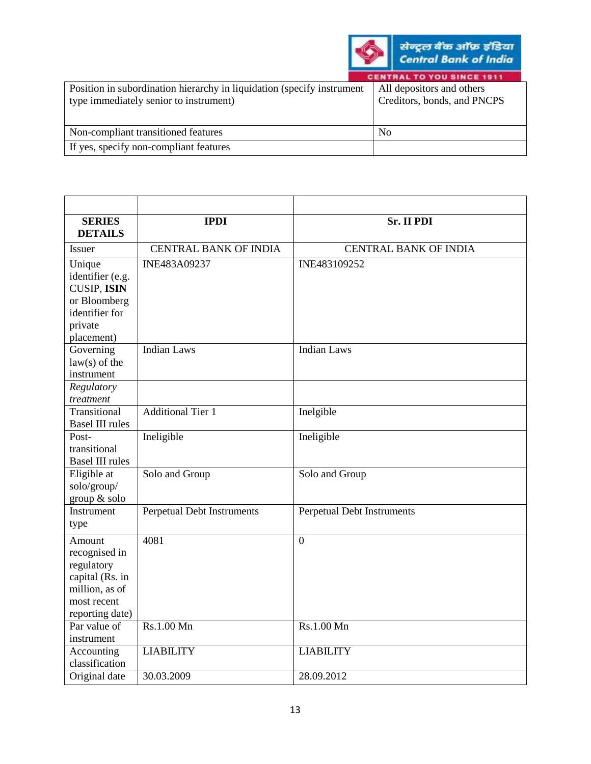

|                                                                        | CENTRAL TO TOU SINCE 1911   |
|------------------------------------------------------------------------|-----------------------------|
| Position in subordination hierarchy in liquidation (specify instrument | All depositors and others   |
| type immediately senior to instrument)                                 | Creditors, bonds, and PNCPS |
|                                                                        |                             |
|                                                                        |                             |
| Non-compliant transitioned features                                    | No                          |
| If yes, specify non-compliant features                                 |                             |
|                                                                        |                             |

| <b>SERIES</b><br><b>DETAILS</b>                                                                              | <b>IPDI</b>                       | Sr. II PDI                   |
|--------------------------------------------------------------------------------------------------------------|-----------------------------------|------------------------------|
| <b>Issuer</b>                                                                                                | <b>CENTRAL BANK OF INDIA</b>      | <b>CENTRAL BANK OF INDIA</b> |
| Unique<br>identifier (e.g.<br><b>CUSIP, ISIN</b><br>or Bloomberg<br>identifier for<br>private<br>placement)  | INE483A09237                      | INE483109252                 |
| Governing<br>$law(s)$ of the<br>instrument                                                                   | <b>Indian Laws</b>                | <b>Indian Laws</b>           |
| Regulatory<br>treatment                                                                                      |                                   |                              |
| Transitional<br><b>Basel III rules</b>                                                                       | <b>Additional Tier 1</b>          | Inelgible                    |
| Post-<br>transitional<br><b>Basel III rules</b>                                                              | Ineligible                        | Ineligible                   |
| Eligible at<br>solo/group/<br>group & solo                                                                   | Solo and Group                    | Solo and Group               |
| Instrument<br>type                                                                                           | <b>Perpetual Debt Instruments</b> | Perpetual Debt Instruments   |
| Amount<br>recognised in<br>regulatory<br>capital (Rs. in<br>million, as of<br>most recent<br>reporting date) | 4081                              | $\overline{0}$               |
| Par value of<br>instrument                                                                                   | Rs.1.00 Mn                        | Rs.1.00 Mn                   |
| Accounting<br>classification                                                                                 | <b>LIABILITY</b>                  | <b>LIABILITY</b>             |
| Original date                                                                                                | 30.03.2009                        | 28.09.2012                   |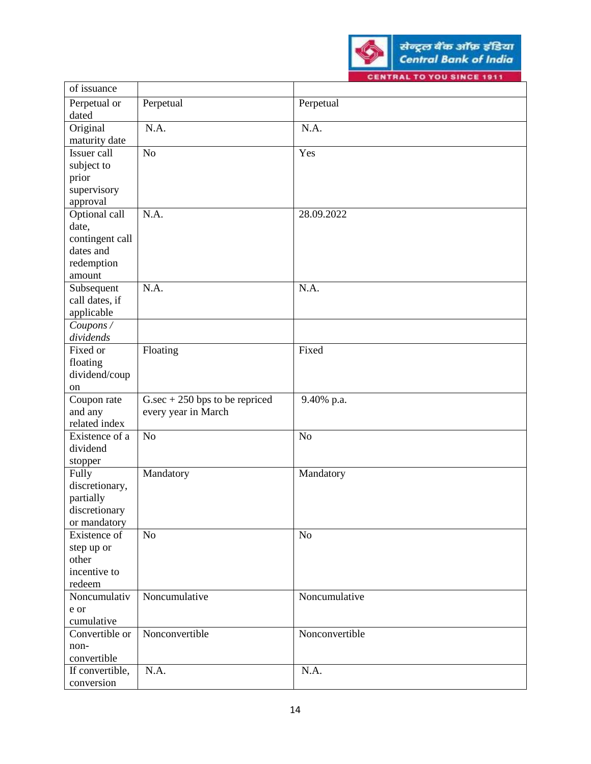

| of issuance     |                                   |                |
|-----------------|-----------------------------------|----------------|
| Perpetual or    | Perpetual                         | Perpetual      |
| dated           |                                   |                |
| Original        | N.A.                              | N.A.           |
| maturity date   |                                   |                |
| Issuer call     | N <sub>o</sub>                    | Yes            |
| subject to      |                                   |                |
| prior           |                                   |                |
| supervisory     |                                   |                |
| approval        |                                   |                |
| Optional call   | N.A.                              | 28.09.2022     |
| date,           |                                   |                |
| contingent call |                                   |                |
| dates and       |                                   |                |
| redemption      |                                   |                |
| amount          |                                   |                |
| Subsequent      | N.A.                              | N.A.           |
| call dates, if  |                                   |                |
| applicable      |                                   |                |
| Coupons /       |                                   |                |
| dividends       |                                   |                |
| Fixed or        | Floating                          | Fixed          |
| floating        |                                   |                |
| dividend/coup   |                                   |                |
| on              |                                   |                |
| Coupon rate     | $G.\sec + 250$ bps to be repriced | 9.40% p.a.     |
| and any         | every year in March               |                |
| related index   |                                   |                |
| Existence of a  | N <sub>o</sub>                    | N <sub>o</sub> |
| dividend        |                                   |                |
| stopper         |                                   |                |
| Fully           | Mandatory                         | Mandatory      |
| discretionary,  |                                   |                |
| partially       |                                   |                |
| discretionary   |                                   |                |
| or mandatory    |                                   |                |
| Existence of    | N <sub>o</sub>                    | N <sub>o</sub> |
| step up or      |                                   |                |
| other           |                                   |                |
| incentive to    |                                   |                |
| redeem          |                                   |                |
| Noncumulativ    | Noncumulative                     | Noncumulative  |
| e or            |                                   |                |
| cumulative      |                                   |                |
| Convertible or  | Nonconvertible                    | Nonconvertible |
| non-            |                                   |                |
| convertible     |                                   |                |
| If convertible, | N.A.                              | N.A.           |
| conversion      |                                   |                |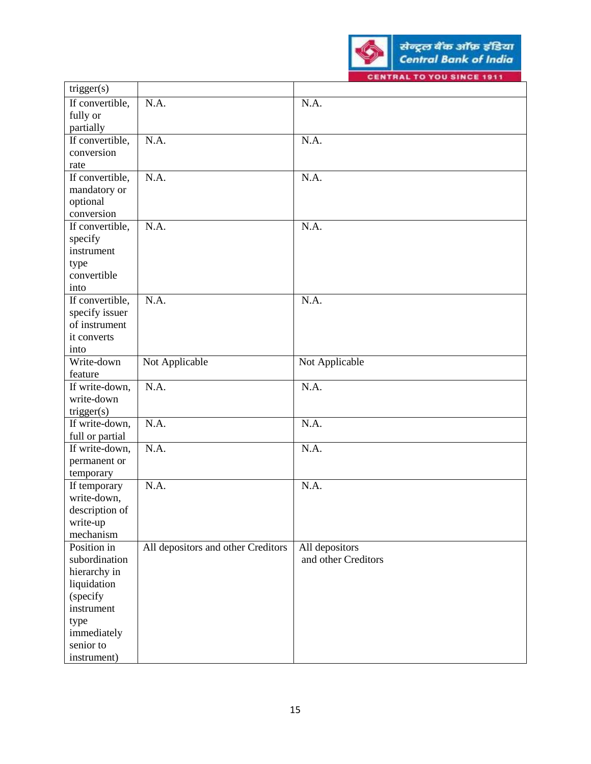

**CENTRAL TO YOU SINCE 1911** 

| N.A.<br>If convertible,<br>N.A.<br>fully or                                                  |
|----------------------------------------------------------------------------------------------|
|                                                                                              |
|                                                                                              |
| partially                                                                                    |
| If convertible,<br>N.A.<br>N.A.                                                              |
| conversion                                                                                   |
| rate                                                                                         |
| N.A.<br>N.A.<br>If convertible,                                                              |
| mandatory or                                                                                 |
| optional                                                                                     |
| conversion                                                                                   |
| If convertible,<br>N.A.<br>N.A.                                                              |
| specify                                                                                      |
| instrument                                                                                   |
| type                                                                                         |
| convertible                                                                                  |
| into                                                                                         |
| N.A.<br>N.A.<br>If convertible,                                                              |
| specify issuer                                                                               |
| of instrument                                                                                |
| it converts                                                                                  |
| into                                                                                         |
| Write-down<br>Not Applicable<br>Not Applicable                                               |
| feature                                                                                      |
| N.A.<br>If write-down,<br>$\overline{N}A$ .                                                  |
| write-down                                                                                   |
| trigger(s)                                                                                   |
| N.A.<br>If write-down,<br>N.A.                                                               |
| full or partial                                                                              |
| $\overline{NA}$ .<br>N.A.<br>If write-down,                                                  |
| permanent or                                                                                 |
| temporary                                                                                    |
| N.A.<br>N.A.<br>If temporary                                                                 |
| write-down,                                                                                  |
| description of                                                                               |
| write-up<br>mechanism                                                                        |
| Position in                                                                                  |
| All depositors and other Creditors<br>All depositors<br>subordination<br>and other Creditors |
| hierarchy in                                                                                 |
| liquidation                                                                                  |
| (specify                                                                                     |
| instrument                                                                                   |
| type                                                                                         |
| immediately                                                                                  |
| senior to                                                                                    |
| instrument)                                                                                  |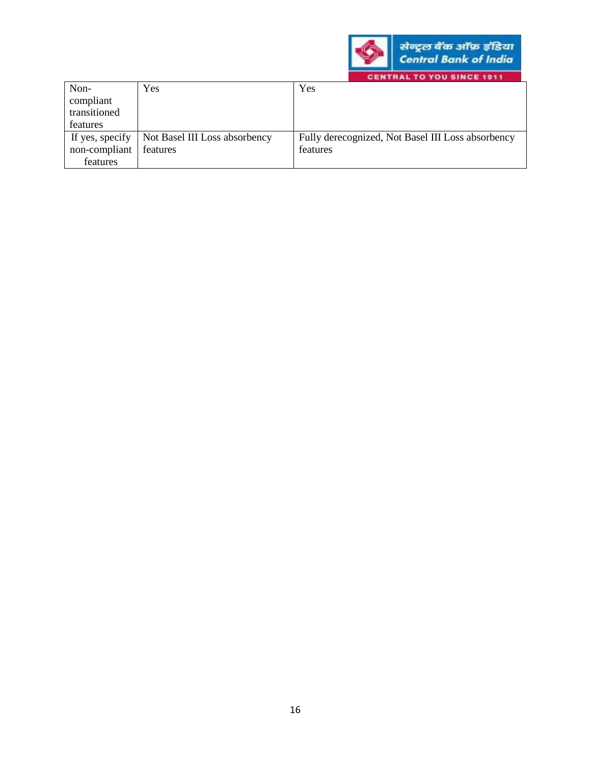

 $\rightarrow$  $\overline{\phantom{a}}$   $11777$ 

 $\overline{1}$ 

| Non-            | Yes                           | Yes                                               |
|-----------------|-------------------------------|---------------------------------------------------|
| compliant       |                               |                                                   |
| transitioned    |                               |                                                   |
| features        |                               |                                                   |
| If yes, specify | Not Basel III Loss absorbency | Fully derecognized, Not Basel III Loss absorbency |
| non-compliant   | features                      | features                                          |
| features        |                               |                                                   |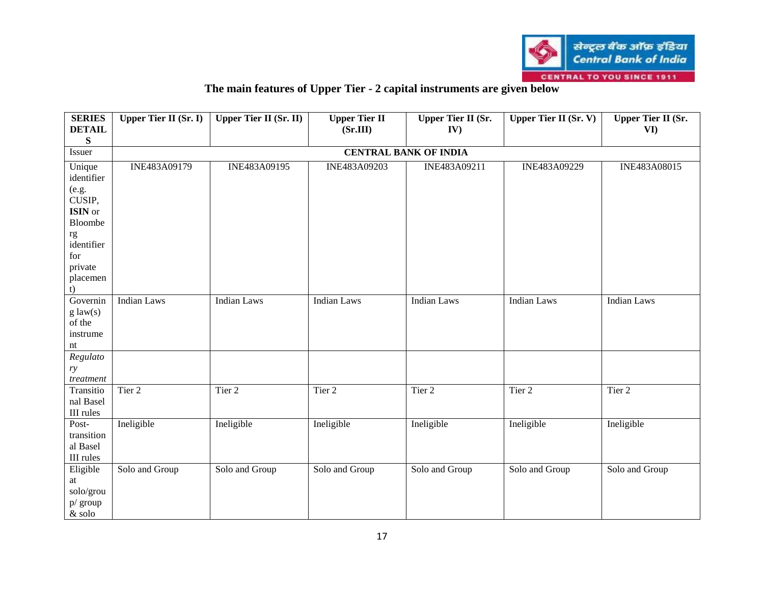# **The main features of Upper Tier - 2 capital instruments are given below**

| <b>SERIES</b><br><b>DETAIL</b>                      | <b>Upper Tier II (Sr. I)</b> | <b>Upper Tier II (Sr. II)</b> | <b>Upper Tier II</b><br>(Sr.III) | <b>Upper Tier II (Sr.</b><br>IV) | <b>Upper Tier II (Sr. V)</b> | <b>Upper Tier II (Sr.</b><br>VI |
|-----------------------------------------------------|------------------------------|-------------------------------|----------------------------------|----------------------------------|------------------------------|---------------------------------|
| S                                                   |                              |                               |                                  |                                  |                              |                                 |
| Issuer                                              |                              |                               |                                  | <b>CENTRAL BANK OF INDIA</b>     |                              |                                 |
| Unique<br>identifier                                | INE483A09179                 | INE483A09195                  | INE483A09203                     | INE483A09211                     | INE483A09229                 | INE483A08015                    |
| (e.g.<br>CUSIP,                                     |                              |                               |                                  |                                  |                              |                                 |
| ISIN or<br>Bloombe                                  |                              |                               |                                  |                                  |                              |                                 |
| $\mathbf{r}\mathbf{g}$<br>identifier                |                              |                               |                                  |                                  |                              |                                 |
| for<br>private<br>placemen                          |                              |                               |                                  |                                  |                              |                                 |
| t)                                                  |                              |                               |                                  |                                  |                              |                                 |
| Governin<br>$g$ law $(s)$                           | <b>Indian Laws</b>           | <b>Indian Laws</b>            | <b>Indian Laws</b>               | <b>Indian Laws</b>               | <b>Indian Laws</b>           | <b>Indian Laws</b>              |
| of the<br>instrume                                  |                              |                               |                                  |                                  |                              |                                 |
| nt<br>Regulato                                      |                              |                               |                                  |                                  |                              |                                 |
| ry<br>treatment                                     |                              |                               |                                  |                                  |                              |                                 |
| Transitio<br>nal Basel<br>III rules                 | Tier 2                       | Tier 2                        | Tier 2                           | Tier 2                           | Tier 2                       | Tier 2                          |
| Post-<br>transition<br>al Basel<br>III rules        | Ineligible                   | Ineligible                    | Ineligible                       | Ineligible                       | Ineligible                   | Ineligible                      |
| Eligible<br>at<br>solo/grou<br>p/group<br>$\&$ solo | Solo and Group               | Solo and Group                | Solo and Group                   | Solo and Group                   | Solo and Group               | Solo and Group                  |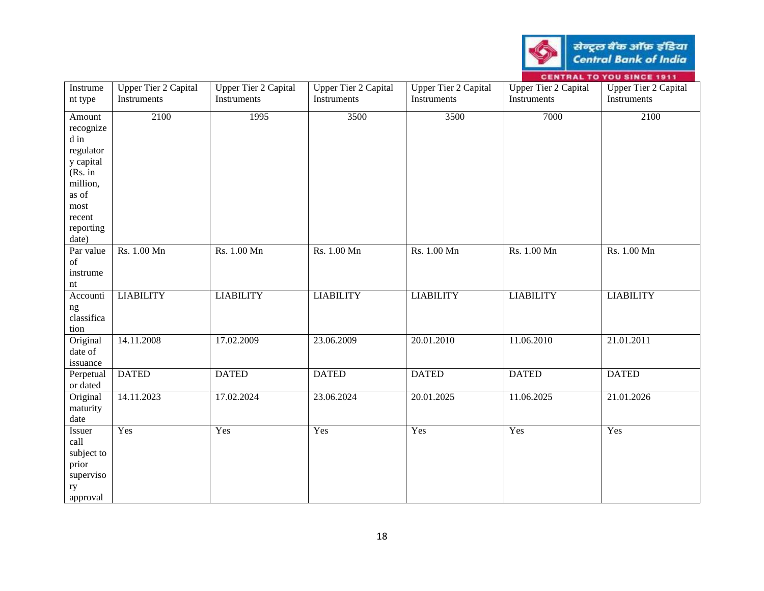

|                                                                                                                               |                                            |                                            |                                            |                                            |                                            | <b>CENTRAL TO TOO SINCE 1911</b>           |
|-------------------------------------------------------------------------------------------------------------------------------|--------------------------------------------|--------------------------------------------|--------------------------------------------|--------------------------------------------|--------------------------------------------|--------------------------------------------|
| Instrume<br>nt type                                                                                                           | <b>Upper Tier 2 Capital</b><br>Instruments | <b>Upper Tier 2 Capital</b><br>Instruments | <b>Upper Tier 2 Capital</b><br>Instruments | <b>Upper Tier 2 Capital</b><br>Instruments | <b>Upper Tier 2 Capital</b><br>Instruments | <b>Upper Tier 2 Capital</b><br>Instruments |
| Amount<br>recognize<br>d in<br>regulator<br>y capital<br>(Rs. in<br>million,<br>as of<br>most<br>recent<br>reporting<br>date) | 2100                                       | 1995                                       | 3500                                       | 3500                                       | 7000                                       | 2100                                       |
| Par value<br>of<br>instrume<br>nt                                                                                             | Rs. 1.00 Mn                                | Rs. 1.00 Mn                                | Rs. 1.00 Mn                                | Rs. 1.00 Mn                                | Rs. 1.00 Mn                                | Rs. 1.00 Mn                                |
| Accounti<br>ng<br>classifica<br>tion                                                                                          | <b>LIABILITY</b>                           | <b>LIABILITY</b>                           | <b>LIABILITY</b>                           | <b>LIABILITY</b>                           | <b>LIABILITY</b>                           | <b>LIABILITY</b>                           |
| Original<br>date of<br>issuance                                                                                               | 14.11.2008                                 | 17.02.2009                                 | 23.06.2009                                 | 20.01.2010                                 | 11.06.2010                                 | 21.01.2011                                 |
| Perpetual<br>or dated                                                                                                         | <b>DATED</b>                               | <b>DATED</b>                               | <b>DATED</b>                               | <b>DATED</b>                               | <b>DATED</b>                               | <b>DATED</b>                               |
| Original<br>maturity<br>date                                                                                                  | 14.11.2023                                 | 17.02.2024                                 | 23.06.2024                                 | 20.01.2025                                 | 11.06.2025                                 | 21.01.2026                                 |
| Issuer<br>call<br>subject to<br>prior<br>superviso<br>ry<br>approval                                                          | Yes                                        | Yes                                        | Yes                                        | Yes                                        | Yes                                        | Yes                                        |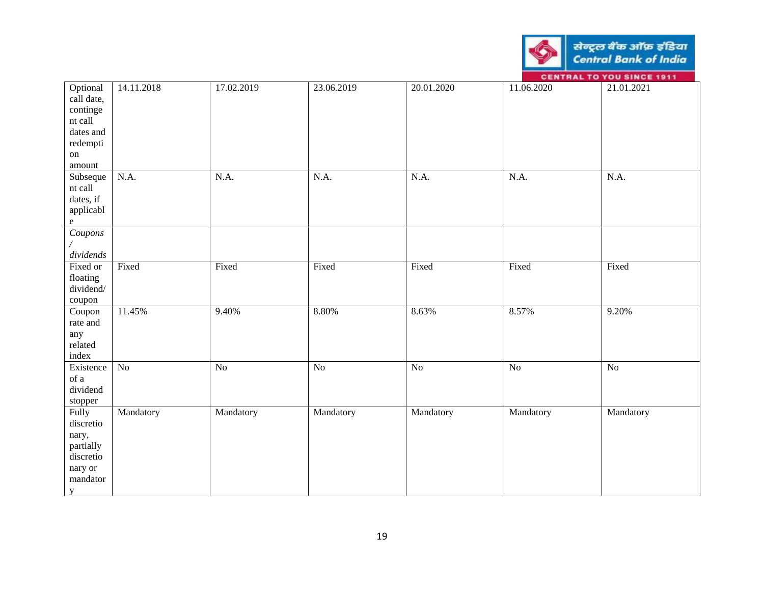|                                   |            |            |            |            |            | <b>CENTRAL TO YOU SINCE 1911</b> |
|-----------------------------------|------------|------------|------------|------------|------------|----------------------------------|
| Optional                          | 14.11.2018 | 17.02.2019 | 23.06.2019 | 20.01.2020 | 11.06.2020 | 21.01.2021                       |
| call date,                        |            |            |            |            |            |                                  |
| continge<br>nt call               |            |            |            |            |            |                                  |
| dates and                         |            |            |            |            |            |                                  |
| redempti                          |            |            |            |            |            |                                  |
| $\,$ on $\,$                      |            |            |            |            |            |                                  |
| amount                            |            |            |            |            |            |                                  |
| Subseque                          | N.A.       | N.A.       | N.A.       | N.A.       | N.A.       | N.A.                             |
| nt call                           |            |            |            |            |            |                                  |
| dates, if                         |            |            |            |            |            |                                  |
| applicabl                         |            |            |            |            |            |                                  |
| $\mathbf{e}% _{t}\left( t\right)$ |            |            |            |            |            |                                  |
| Coupons                           |            |            |            |            |            |                                  |
|                                   |            |            |            |            |            |                                  |
| dividends                         |            |            |            |            |            |                                  |
| Fixed or                          | Fixed      | Fixed      | Fixed      | Fixed      | Fixed      | Fixed                            |
| floating                          |            |            |            |            |            |                                  |
| dividend/                         |            |            |            |            |            |                                  |
| coupon                            |            |            |            |            |            |                                  |
| Coupon                            | 11.45%     | 9.40%      | 8.80%      | 8.63%      | 8.57%      | 9.20%                            |
| rate and                          |            |            |            |            |            |                                  |
| any                               |            |            |            |            |            |                                  |
| related                           |            |            |            |            |            |                                  |
| index                             |            |            |            |            |            |                                  |
| Existence                         | $\rm No$   | $\rm No$   | $\rm No$   | No         | No         | No                               |
| of a                              |            |            |            |            |            |                                  |
| dividend                          |            |            |            |            |            |                                  |
| stopper<br>Fully                  | Mandatory  | Mandatory  | Mandatory  | Mandatory  | Mandatory  | Mandatory                        |
| discretio                         |            |            |            |            |            |                                  |
| nary,                             |            |            |            |            |            |                                  |
| partially                         |            |            |            |            |            |                                  |
| discretio                         |            |            |            |            |            |                                  |
| nary or                           |            |            |            |            |            |                                  |
| mandator                          |            |            |            |            |            |                                  |
| y                                 |            |            |            |            |            |                                  |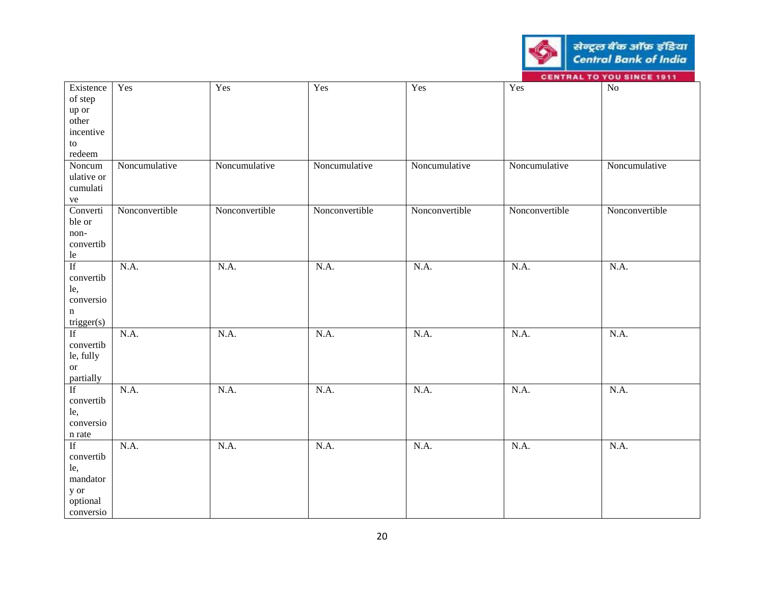| <b>CENTRAL TO YOU SINCE 1911</b> |  |
|----------------------------------|--|
|                                  |  |
|                                  |  |

| Existence                    | Yes            | Yes            | Yes            | Yes               | Yes            | $\rm No$       |
|------------------------------|----------------|----------------|----------------|-------------------|----------------|----------------|
| of step                      |                |                |                |                   |                |                |
| up or                        |                |                |                |                   |                |                |
| other                        |                |                |                |                   |                |                |
| incentive                    |                |                |                |                   |                |                |
| to                           |                |                |                |                   |                |                |
| redeem                       |                |                |                |                   |                |                |
| Noncum                       | Noncumulative  | Noncumulative  | Noncumulative  | Noncumulative     | Noncumulative  | Noncumulative  |
| ulative or                   |                |                |                |                   |                |                |
| cumulati                     |                |                |                |                   |                |                |
|                              |                |                |                |                   |                |                |
| ${\it ve}$<br>Converti       | Nonconvertible | Nonconvertible | Nonconvertible | Nonconvertible    | Nonconvertible | Nonconvertible |
| ble or                       |                |                |                |                   |                |                |
| non-                         |                |                |                |                   |                |                |
| convertib                    |                |                |                |                   |                |                |
|                              |                |                |                |                   |                |                |
| le<br>$\overline{\text{If}}$ | N.A.           | N.A.           | N.A.           | N.A.              | N.A.           | N.A.           |
|                              |                |                |                |                   |                |                |
| convertib                    |                |                |                |                   |                |                |
| le,                          |                |                |                |                   |                |                |
| conversio                    |                |                |                |                   |                |                |
| $\mathbf n$                  |                |                |                |                   |                |                |
| trigger(s)<br>If             |                |                |                |                   | N.A.           |                |
|                              | N.A.           | N.A.           | N.A.           | $\overline{N}A$ . |                | N.A.           |
| convertib                    |                |                |                |                   |                |                |
| le, fully                    |                |                |                |                   |                |                |
| <b>or</b>                    |                |                |                |                   |                |                |
| partially                    |                |                |                |                   |                |                |
| $\overline{\text{If}}$       | N.A.           | N.A.           | N.A.           | N.A.              | N.A.           | N.A.           |
| convertib                    |                |                |                |                   |                |                |
| le,                          |                |                |                |                   |                |                |
| conversio                    |                |                |                |                   |                |                |
| n rate                       |                |                |                |                   |                |                |
| $\overline{\text{If}}$       | N.A.           | N.A.           | N.A.           | N.A.              | N.A.           | N.A.           |
| convertib                    |                |                |                |                   |                |                |
| le,                          |                |                |                |                   |                |                |
| mandator                     |                |                |                |                   |                |                |
| y or                         |                |                |                |                   |                |                |
| optional                     |                |                |                |                   |                |                |
| conversio                    |                |                |                |                   |                |                |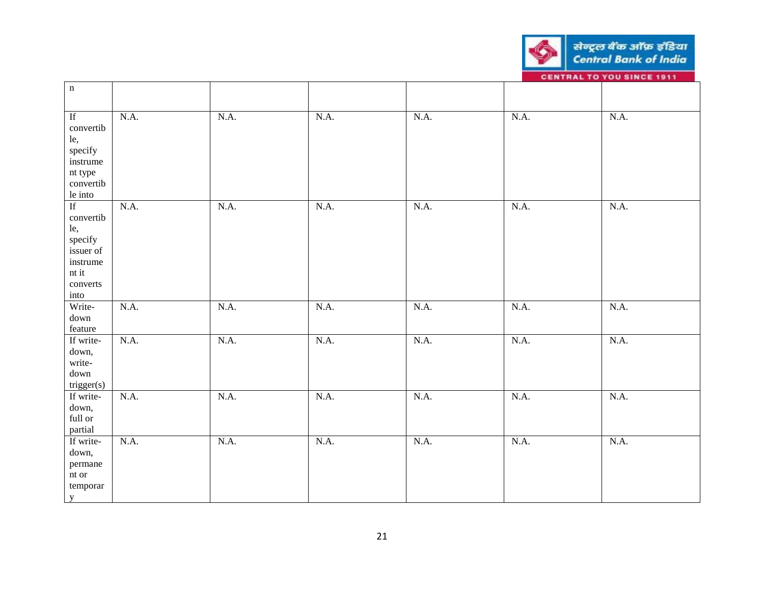

| $\,$ n                                                                                                      |      |      |                   |      |      |      |
|-------------------------------------------------------------------------------------------------------------|------|------|-------------------|------|------|------|
| If<br>convertib<br>le,<br>specify<br>instrume<br>nt type<br>convertib                                       | N.A. | N.A. | N.A.              | N.A. | N.A. | N.A. |
| le into                                                                                                     |      |      |                   |      |      |      |
| $\overline{\text{If}}$<br>convertib<br>le,<br>specify<br>issuer of<br>instrume<br>nt it<br>converts<br>into | N.A. | N.A. | N.A.              | N.A. | N.A. | N.A. |
| Write-                                                                                                      | N.A. | N.A. | $\overline{N}A$ . | N.A. | N.A. | N.A. |
| down<br>feature                                                                                             |      |      |                   |      |      |      |
| If write-<br>down,<br>write-<br>down<br>trigger(s)                                                          | N.A. | N.A. | N.A.              | N.A. | N.A. | N.A. |
| If write-<br>down,<br>$\operatorname{full}$ or<br>partial                                                   | N.A. | N.A. | N.A.              | N.A. | N.A. | N.A. |
| If write-<br>down,<br>permane<br>$\mathop{\mathsf{nt}}$ or<br>temporar<br>y                                 | N.A. | N.A. | N.A.              | N.A. | N.A. | N.A. |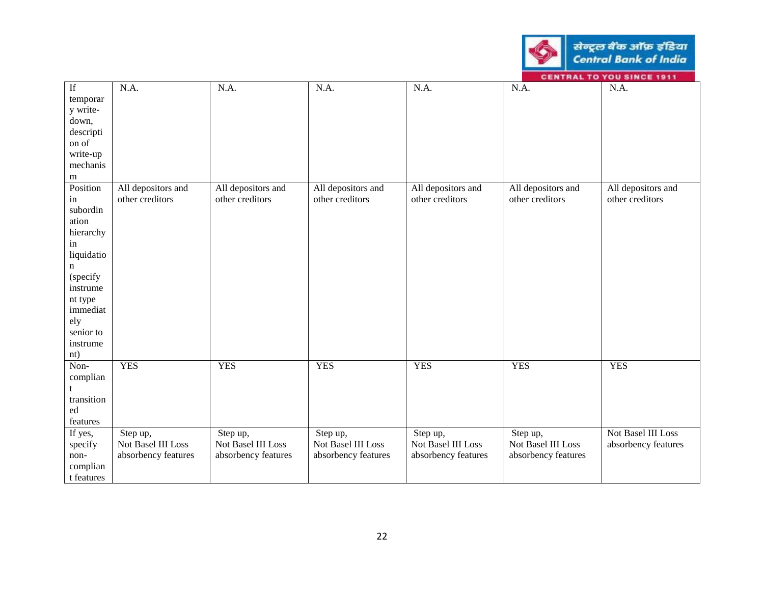|                      |                     | <b>CENTRAL TO YOU SINCE 1911</b> |                     |                     |                     |                     |
|----------------------|---------------------|----------------------------------|---------------------|---------------------|---------------------|---------------------|
| $\mathop{\rm If}$    | N.A.                | N.A.                             | N.A.                | N.A.                | N.A.                | N.A.                |
| temporar<br>y write- |                     |                                  |                     |                     |                     |                     |
| down,                |                     |                                  |                     |                     |                     |                     |
| descripti            |                     |                                  |                     |                     |                     |                     |
| on of                |                     |                                  |                     |                     |                     |                     |
| write-up             |                     |                                  |                     |                     |                     |                     |
| mechanis             |                     |                                  |                     |                     |                     |                     |
| m                    |                     |                                  |                     |                     |                     |                     |
| Position             | All depositors and  | All depositors and               | All depositors and  | All depositors and  | All depositors and  | All depositors and  |
| in                   | other creditors     | other creditors                  | other creditors     | other creditors     | other creditors     | other creditors     |
| subordin<br>ation    |                     |                                  |                     |                     |                     |                     |
| hierarchy            |                     |                                  |                     |                     |                     |                     |
| in                   |                     |                                  |                     |                     |                     |                     |
| liquidatio           |                     |                                  |                     |                     |                     |                     |
| n                    |                     |                                  |                     |                     |                     |                     |
| (specify             |                     |                                  |                     |                     |                     |                     |
| instrume             |                     |                                  |                     |                     |                     |                     |
| nt type              |                     |                                  |                     |                     |                     |                     |
| immediat             |                     |                                  |                     |                     |                     |                     |
| ely                  |                     |                                  |                     |                     |                     |                     |
| senior to            |                     |                                  |                     |                     |                     |                     |
| instrume             |                     |                                  |                     |                     |                     |                     |
| nt)<br>Non-          | <b>YES</b>          | <b>YES</b>                       | <b>YES</b>          | <b>YES</b>          | <b>YES</b>          | <b>YES</b>          |
| complian             |                     |                                  |                     |                     |                     |                     |
| t.                   |                     |                                  |                     |                     |                     |                     |
| transition           |                     |                                  |                     |                     |                     |                     |
| ed                   |                     |                                  |                     |                     |                     |                     |
| features             |                     |                                  |                     |                     |                     |                     |
| If yes,              | Step up,            | Step up,                         | Step up,            | Step up,            | Step up,            | Not Basel III Loss  |
| specify              | Not Basel III Loss  | Not Basel III Loss               | Not Basel III Loss  | Not Basel III Loss  | Not Basel III Loss  | absorbency features |
| non-                 | absorbency features | absorbency features              | absorbency features | absorbency features | absorbency features |                     |
| complian             |                     |                                  |                     |                     |                     |                     |
| t features           |                     |                                  |                     |                     |                     |                     |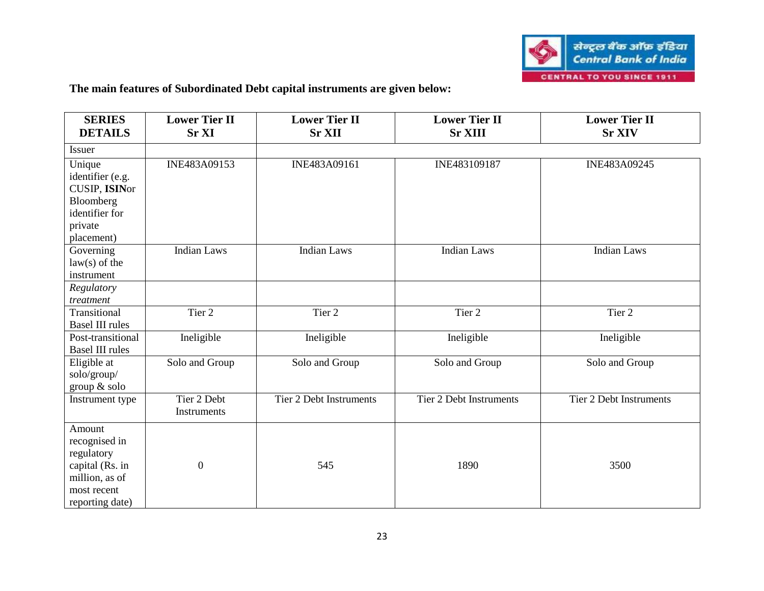

# **The main features of Subordinated Debt capital instruments are given below:**

| <b>SERIES</b><br><b>DETAILS</b>                                                                              | <b>Lower Tier II</b><br><b>Sr XI</b> | <b>Lower Tier II</b><br><b>Sr XII</b>    | <b>Lower Tier II</b><br><b>Sr XIII</b> | <b>Lower Tier II</b><br><b>Sr XIV</b> |
|--------------------------------------------------------------------------------------------------------------|--------------------------------------|------------------------------------------|----------------------------------------|---------------------------------------|
| <b>Issuer</b>                                                                                                |                                      |                                          |                                        |                                       |
| Unique<br>identifier (e.g.<br>CUSIP, ISINor<br>Bloomberg<br>identifier for                                   | INE483A09153                         | INE483A09161<br>INE483109187             |                                        | INE483A09245                          |
| private<br>placement)                                                                                        |                                      |                                          |                                        |                                       |
| Governing<br>$law(s)$ of the<br>instrument                                                                   | <b>Indian Laws</b>                   | <b>Indian Laws</b><br><b>Indian Laws</b> |                                        | <b>Indian Laws</b>                    |
| Regulatory<br>treatment                                                                                      |                                      |                                          |                                        |                                       |
| Transitional<br><b>Basel III rules</b>                                                                       | Tier 2                               | Tier <sub>2</sub>                        | Tier <sub>2</sub>                      | Tier <sub>2</sub>                     |
| Post-transitional<br><b>Basel III rules</b>                                                                  | Ineligible                           | Ineligible                               | Ineligible                             | Ineligible                            |
| Eligible at<br>solo/group/<br>group & solo                                                                   | Solo and Group                       | Solo and Group                           | Solo and Group                         | Solo and Group                        |
| Instrument type                                                                                              | Tier 2 Debt<br>Instruments           | <b>Tier 2 Debt Instruments</b>           | <b>Tier 2 Debt Instruments</b>         | <b>Tier 2 Debt Instruments</b>        |
| Amount<br>recognised in<br>regulatory<br>capital (Rs. in<br>million, as of<br>most recent<br>reporting date) | $\boldsymbol{0}$                     | 545                                      | 1890                                   | 3500                                  |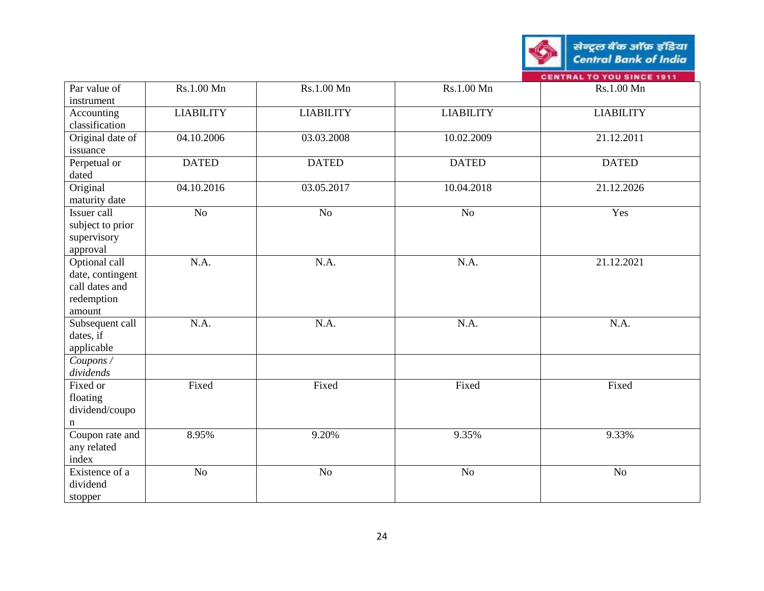|                                                                             |                  |                  |                  | सेन्ट्रल बैंक ऑफ़ इंडिया<br><b>Central Bank of India</b> |
|-----------------------------------------------------------------------------|------------------|------------------|------------------|----------------------------------------------------------|
|                                                                             |                  |                  |                  | <b>CENTRAL TO YOU SINCE 1911</b>                         |
| Par value of<br>instrument                                                  | Rs.1.00 Mn       | Rs.1.00 Mn       | Rs.1.00 Mn       | Rs.1.00 Mn                                               |
| Accounting<br>classification                                                | <b>LIABILITY</b> | <b>LIABILITY</b> | <b>LIABILITY</b> | <b>LIABILITY</b>                                         |
| Original date of<br>issuance                                                | 04.10.2006       | 03.03.2008       | 10.02.2009       | 21.12.2011                                               |
| Perpetual or<br>dated                                                       | <b>DATED</b>     | <b>DATED</b>     | <b>DATED</b>     | <b>DATED</b>                                             |
| Original<br>maturity date                                                   | 04.10.2016       | 03.05.2017       | 10.04.2018       | 21.12.2026                                               |
| Issuer call<br>subject to prior<br>supervisory<br>approval                  | N <sub>o</sub>   | N <sub>o</sub>   | N <sub>o</sub>   | Yes                                                      |
| Optional call<br>date, contingent<br>call dates and<br>redemption<br>amount | N.A.             | N.A.             | N.A.             | 21.12.2021                                               |
| Subsequent call<br>dates, if<br>applicable                                  | N.A.             | N.A.             | N.A.             | N.A.                                                     |
| Coupons/<br>dividends                                                       |                  |                  |                  |                                                          |
| Fixed or<br>floating<br>dividend/coupo                                      | Fixed            | Fixed            | Fixed            | Fixed                                                    |
| n<br>Coupon rate and<br>any related<br>index                                | 8.95%            | 9.20%            | 9.35%            | 9.33%                                                    |
| Existence of a<br>dividend<br>stopper                                       | N <sub>o</sub>   | N <sub>o</sub>   | N <sub>o</sub>   | N <sub>o</sub>                                           |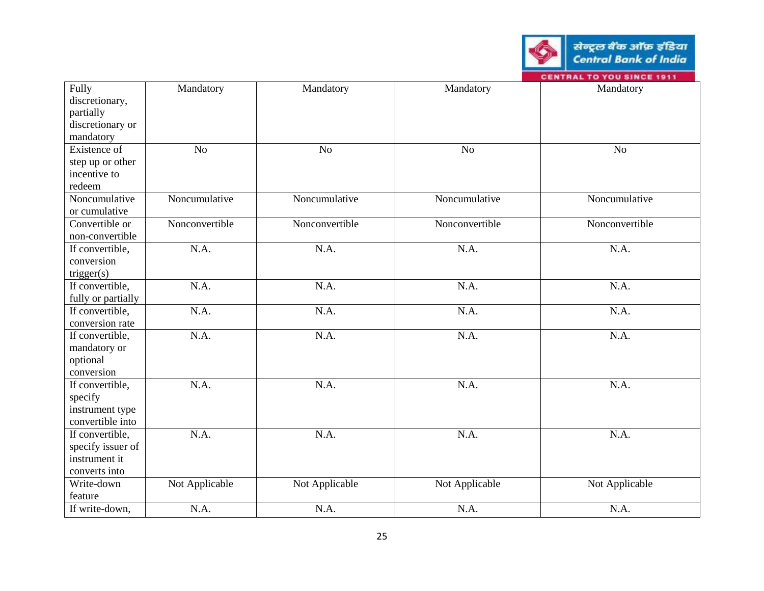**CENTRAL TO YOU SINCE 1911** Fully Mandatory Mandatory Mandatory Mandatory Mandatory Mandatory Mandatory discretionary, partially discretionary or mandatory Existence of No No No No No No No No step up or other incentive to redeem Noncumulative Noncumulative Noncumulative Noncumulative Noncumulative or cumulative Convertible or Nonconvertible Nonconvertible Nonconvertible Nonconvertible non -convertible If convertible, N.A. N.A. N.A. N.A. N.A. N.A. N.A. conversion trigger(s) If convertible, N.A. N.A. N.A. N.A. N.A. N.A. N.A. fully or partially If convertible, N.A. N.A. N.A. N.A. N.A. N.A. N.A. conversion rate If convertible, N.A. N.A. N.A. N.A. N.A. N.A. N.A. mandatory or optional conversion If convertible, N.A. N.A. N.A. N.A. N.A. N.A. N.A. specify instrument type convertible into If convertible, N.A. N.A. N.A. N.A. N.A. N.A. N.A. specify issuer of instrument it converts into Not Applicable Not Applicable Not Applicable Not Applicable Not Applicable Write -down feature If write-down, -down, | N.A. N.A. N.A. N.A. N.A. N.A. N.A.

सेन्ट्रल बैंक ऑफ़ इंडिया **Central Bank of India**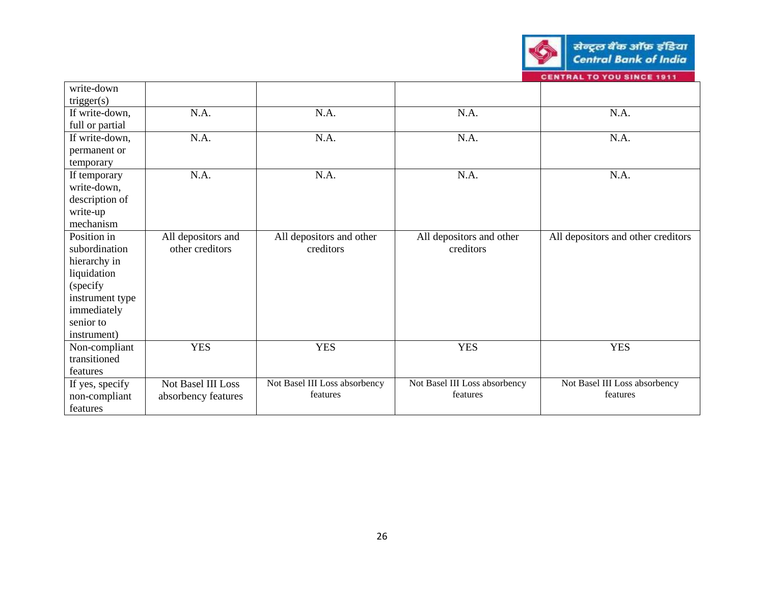

| write-down      |                     |                               |                               |                                    |
|-----------------|---------------------|-------------------------------|-------------------------------|------------------------------------|
| trigger(s)      |                     |                               |                               |                                    |
| If write-down,  | N.A.                | N.A.                          | N.A.                          | N.A.                               |
| full or partial |                     |                               |                               |                                    |
| If write-down,  | N.A.                | N.A.                          | N.A.                          | N.A.                               |
| permanent or    |                     |                               |                               |                                    |
| temporary       |                     |                               |                               |                                    |
| If temporary    | N.A.                | N.A.                          | N.A.                          | N.A.                               |
| write-down,     |                     |                               |                               |                                    |
| description of  |                     |                               |                               |                                    |
| write-up        |                     |                               |                               |                                    |
| mechanism       |                     |                               |                               |                                    |
| Position in     | All depositors and  | All depositors and other      | All depositors and other      | All depositors and other creditors |
| subordination   | other creditors     | creditors                     | creditors                     |                                    |
| hierarchy in    |                     |                               |                               |                                    |
| liquidation     |                     |                               |                               |                                    |
| (specify        |                     |                               |                               |                                    |
| instrument type |                     |                               |                               |                                    |
| immediately     |                     |                               |                               |                                    |
| senior to       |                     |                               |                               |                                    |
| instrument)     |                     |                               |                               |                                    |
| Non-compliant   | <b>YES</b>          | <b>YES</b>                    | <b>YES</b>                    | <b>YES</b>                         |
| transitioned    |                     |                               |                               |                                    |
| features        |                     |                               |                               |                                    |
| If yes, specify | Not Basel III Loss  | Not Basel III Loss absorbency | Not Basel III Loss absorbency | Not Basel III Loss absorbency      |
| non-compliant   | absorbency features | features                      | features                      | features                           |
| features        |                     |                               |                               |                                    |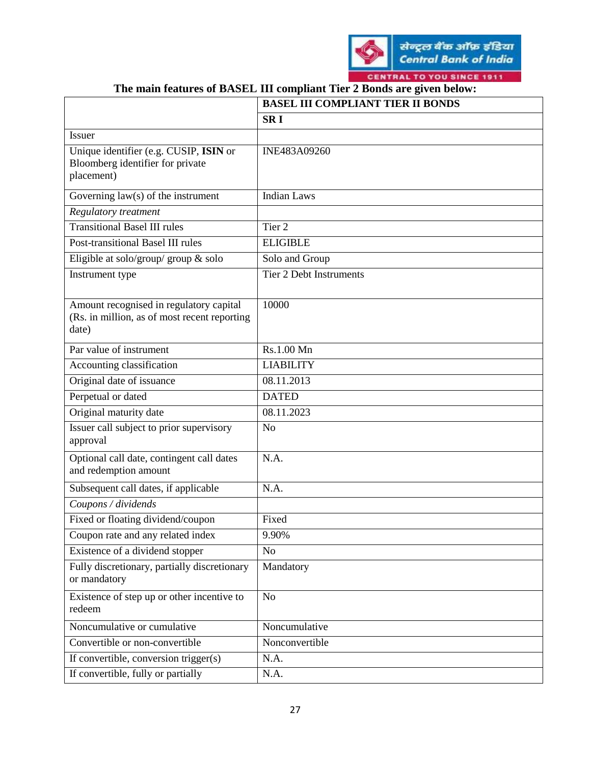

**The main features of BASEL III compliant Tier 2 Bonds are given below:**

|                                                                                                  | <b>BASEL III COMPLIANT TIER II BONDS</b> |
|--------------------------------------------------------------------------------------------------|------------------------------------------|
|                                                                                                  | <b>SRI</b>                               |
| <b>Issuer</b>                                                                                    |                                          |
| Unique identifier (e.g. CUSIP, ISIN or<br>Bloomberg identifier for private<br>placement)         | INE483A09260                             |
| Governing $law(s)$ of the instrument                                                             | <b>Indian Laws</b>                       |
| <b>Regulatory treatment</b>                                                                      |                                          |
| <b>Transitional Basel III rules</b>                                                              | Tier <sub>2</sub>                        |
| <b>Post-transitional Basel III rules</b>                                                         | <b>ELIGIBLE</b>                          |
| Eligible at solo/group/ group $\&$ solo                                                          | Solo and Group                           |
| Instrument type                                                                                  | <b>Tier 2 Debt Instruments</b>           |
| Amount recognised in regulatory capital<br>(Rs. in million, as of most recent reporting<br>date) | 10000                                    |
| Par value of instrument                                                                          | Rs.1.00 Mn                               |
| Accounting classification                                                                        | <b>LIABILITY</b>                         |
| Original date of issuance                                                                        | 08.11.2013                               |
| Perpetual or dated                                                                               | <b>DATED</b>                             |
| Original maturity date                                                                           | 08.11.2023                               |
| Issuer call subject to prior supervisory<br>approval                                             | N <sub>o</sub>                           |
| Optional call date, contingent call dates<br>and redemption amount                               | N.A.                                     |
| Subsequent call dates, if applicable                                                             | N.A.                                     |
| Coupons / dividends                                                                              |                                          |
| Fixed or floating dividend/coupon                                                                | Fixed                                    |
| Coupon rate and any related index                                                                | 9.90%                                    |
| Existence of a dividend stopper                                                                  | N <sub>o</sub>                           |
| Fully discretionary, partially discretionary<br>or mandatory                                     | Mandatory                                |
| Existence of step up or other incentive to<br>redeem                                             | N <sub>o</sub>                           |
| Noncumulative or cumulative                                                                      | Noncumulative                            |
| Convertible or non-convertible                                                                   | Nonconvertible                           |
| If convertible, conversion trigger(s)                                                            | N.A.                                     |
| If convertible, fully or partially                                                               | N.A.                                     |